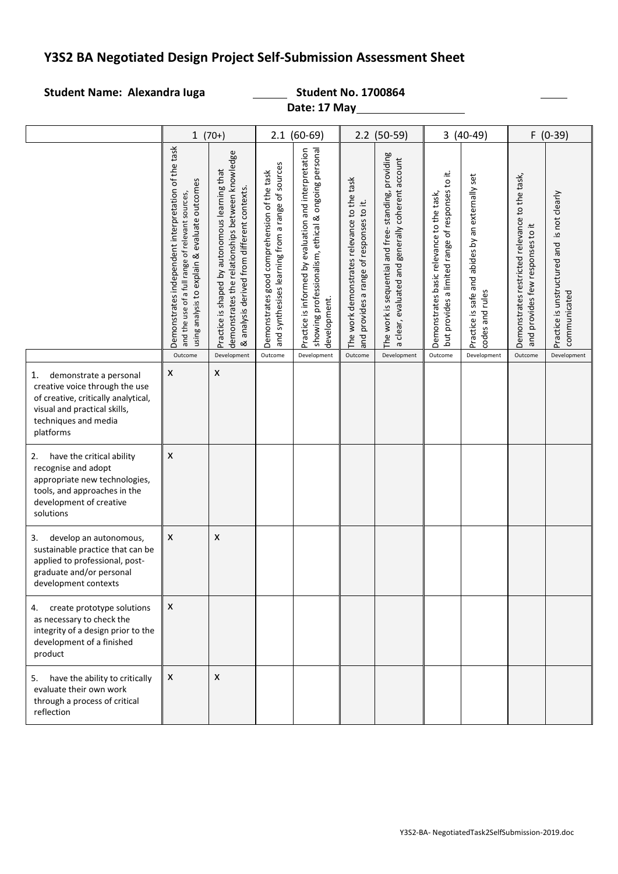# **Y3S2 BA Negotiated Design Project Self-Submission Assessment Sheet**

## Student Name: Alexandra Iuga **Student No. 1700864**

**Date: 17 May**

|                                                                                                                                                                            | $1(70+)$                                                                                                                                                 |                                                                                                                                                   | $2.1(60-69)$                                                                                    |                                                                                                                                 | $2.2$ (50-59)                                                                                        |                                                                                                          | $3(40-49)$                                                                                    |                                                                                   | $F(0-39)$                                                                          |                                                             |
|----------------------------------------------------------------------------------------------------------------------------------------------------------------------------|----------------------------------------------------------------------------------------------------------------------------------------------------------|---------------------------------------------------------------------------------------------------------------------------------------------------|-------------------------------------------------------------------------------------------------|---------------------------------------------------------------------------------------------------------------------------------|------------------------------------------------------------------------------------------------------|----------------------------------------------------------------------------------------------------------|-----------------------------------------------------------------------------------------------|-----------------------------------------------------------------------------------|------------------------------------------------------------------------------------|-------------------------------------------------------------|
|                                                                                                                                                                            | Demonstrates independent interpretation of the task<br>using analysis to explain & evaluate outcomes<br>and the use of a full range of relevant sources, | demonstrates the relationships between knowledge<br>Practice is shaped by autonomous learning that<br>& analysis derived from different contexts. | and synthesises learning from a range of sources<br>Demonstrates good comprehension of the task | showing professionalism, ethical & ongoing personal<br>and interpretation<br>Practice is informed by evaluation<br>development. | The work demonstrates relevance to the task<br>provides a range of responses to it.<br>$\frac{1}{2}$ | The work is sequential and free-standing, providing<br>a clear, evaluated and generally coherent account | but provides a limited range of responses to it.<br>Demonstrates basic relevance to the task, | safe and abides by an externally set<br>codes and rules<br><u>ଧ</u> .<br>Practice | Demonstrates restricted relevance to the task,<br>and provides few responses to it | Practice is unstructured and is not clearly<br>communicated |
|                                                                                                                                                                            | Outcome                                                                                                                                                  | Development                                                                                                                                       | Outcome                                                                                         | Development                                                                                                                     | Outcome                                                                                              | Development                                                                                              | Outcome                                                                                       | Development                                                                       | Outcome                                                                            | Development                                                 |
| 1.<br>demonstrate a personal<br>creative voice through the use<br>of creative, critically analytical,<br>visual and practical skills,<br>techniques and media<br>platforms | X                                                                                                                                                        | X                                                                                                                                                 |                                                                                                 |                                                                                                                                 |                                                                                                      |                                                                                                          |                                                                                               |                                                                                   |                                                                                    |                                                             |
| have the critical ability<br>2.<br>recognise and adopt<br>appropriate new technologies,<br>tools, and approaches in the<br>development of creative<br>solutions            | X                                                                                                                                                        |                                                                                                                                                   |                                                                                                 |                                                                                                                                 |                                                                                                      |                                                                                                          |                                                                                               |                                                                                   |                                                                                    |                                                             |
| develop an autonomous,<br>3.<br>sustainable practice that can be<br>applied to professional, post-<br>graduate and/or personal<br>development contexts                     | X                                                                                                                                                        | X                                                                                                                                                 |                                                                                                 |                                                                                                                                 |                                                                                                      |                                                                                                          |                                                                                               |                                                                                   |                                                                                    |                                                             |
| create prototype solutions<br>4.<br>as necessary to check the<br>integrity of a design prior to the<br>development of a finished<br>product                                | X                                                                                                                                                        |                                                                                                                                                   |                                                                                                 |                                                                                                                                 |                                                                                                      |                                                                                                          |                                                                                               |                                                                                   |                                                                                    |                                                             |
| have the ability to critically<br>5.<br>evaluate their own work<br>through a process of critical<br>reflection                                                             | X                                                                                                                                                        | X                                                                                                                                                 |                                                                                                 |                                                                                                                                 |                                                                                                      |                                                                                                          |                                                                                               |                                                                                   |                                                                                    |                                                             |